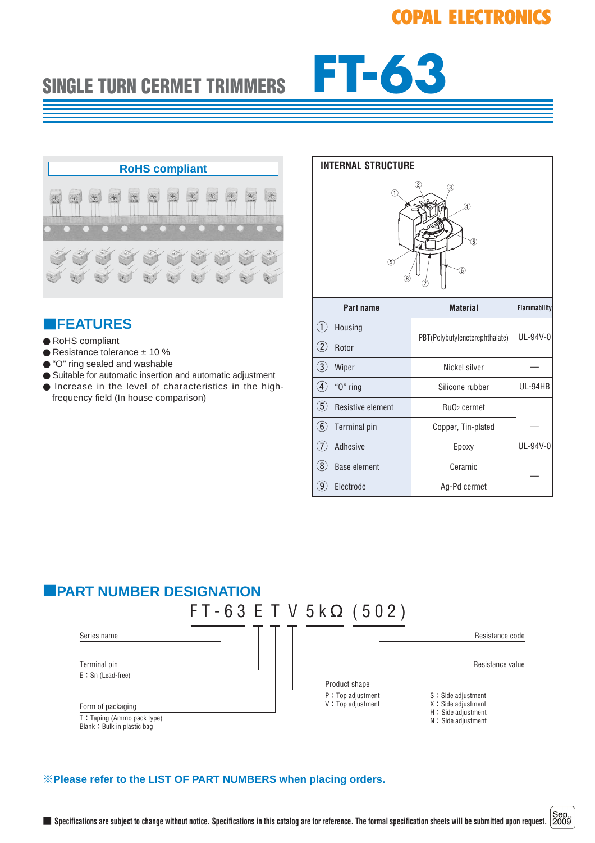# **SINGLE TURN CERMET TRIMMERS FT-63**



# ■**FEATURES**

- RoHS compliant
- Resistance tolerance ± 10 %
- "O" ring sealed and washable
- Suitable for automatic insertion and automatic adjustment
- Increase in the level of characteristics in the highfrequency field (In house comparison)

|                                                                         | <b>INTERNAL STRUCTURE</b> |                                |                     |  |  |
|-------------------------------------------------------------------------|---------------------------|--------------------------------|---------------------|--|--|
| T<br>$\widehat{4}$<br>$\overline{5}$<br>$\circledcirc$<br>$\circledast$ |                           |                                |                     |  |  |
|                                                                         | Part name                 | <b>Material</b>                | <b>Flammability</b> |  |  |
| $^{\textcircled{\scriptsize{1}}}$                                       | Housing                   | PBT(Polybutyleneterephthalate) | UL-94V-0            |  |  |
| $\circled{2}$                                                           | Rotor                     |                                |                     |  |  |
| $\circled{3}$                                                           | Wiper                     | Nickel silver                  |                     |  |  |
| $\bigcirc$                                                              | "O" ring                  | Silicone rubber                | UL-94HB             |  |  |
| $\circledS$                                                             | Resistive element         | Ru <sub>O2</sub> cermet        |                     |  |  |
| $\circled6$                                                             | Terminal pin              | Copper, Tin-plated             |                     |  |  |
| $(\widehat{I})$                                                         | Adhesive                  | Epoxy                          | UL-94V-0            |  |  |
| $\circledS$                                                             | Base element              | Ceramic                        |                     |  |  |
| $\large \textcircled{\scriptsize 9}$                                    | Electrode                 | Ag-Pd cermet                   |                     |  |  |

### ■**PART NUMBER DESIGNATION**



### ※**Please refer to the LIST OF PART NUMBERS when placing orders.**

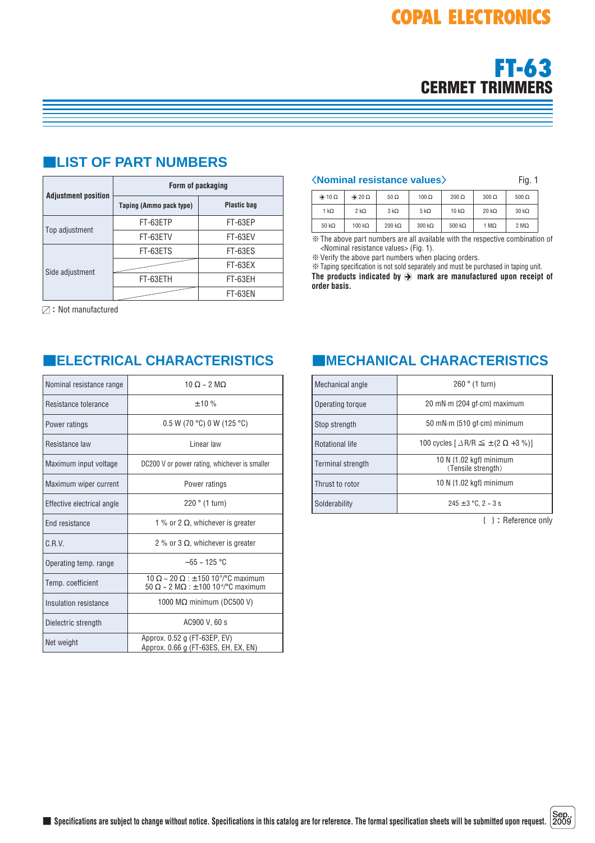

|                            | Form of packaging       |                    |  |
|----------------------------|-------------------------|--------------------|--|
| <b>Adjustment position</b> | Taping (Ammo pack type) | <b>Plastic bag</b> |  |
|                            | FT-63ETP                | FT-63EP            |  |
| Top adjustment             | FT-63ETV                | FT-63EV            |  |
|                            | FT-63ETS                | FT-63ES            |  |
|                            |                         | FT-63EX            |  |
| Side adjustment            | FT-63ETH                | FT-63EH            |  |
|                            |                         | FT-63EN            |  |

# ■**LIST OF PART NUMBERS**

 $\boxtimes$ : Not manufactured

| Nominal resistance range   | $10 \Omega \sim 2 \text{ MO}$                                                                                                              |  |
|----------------------------|--------------------------------------------------------------------------------------------------------------------------------------------|--|
| Resistance tolerance       | ± 10%                                                                                                                                      |  |
| Power ratings              | $0.5 W$ (70 °C) 0 W (125 °C)                                                                                                               |  |
| Resistance law             | Linear law                                                                                                                                 |  |
| Maximum input voltage      | DC200 V or power rating, whichever is smaller                                                                                              |  |
| Maximum wiper current      | Power ratings                                                                                                                              |  |
| Effective electrical angle | 220 ° (1 turn)                                                                                                                             |  |
| End resistance             | 1 % or 2 $\Omega$ , whichever is greater                                                                                                   |  |
| $C$ . R. V.                | 2 % or 3 $\Omega$ , whichever is greater                                                                                                   |  |
| Operating temp. range      | $-55 \sim 125 °C$                                                                                                                          |  |
| Temp. coefficient          | $10 \Omega \sim 20 \Omega$ : + 150 10 <sup>-6</sup> /°C maximum<br>$50 \Omega \sim 2 \text{ M}\Omega$ : ± 100 10 <sup>-6</sup> /°C maximum |  |
| Insulation resistance      | 1000 $M\Omega$ minimum (DC500 V)                                                                                                           |  |
| Dielectric strength        | AC900 V, 60 s                                                                                                                              |  |
| Net weight                 | Approx. 0.52 g (FT-63EP, EV)<br>Approx. 0.66 g (FT-63ES, EH, EX, EN)                                                                       |  |

### 〈**Nominal resistance values**〉 Fig. 1

| $\rightarrow$ 10 $\Omega$ | $\rightarrow 20 \Omega$ | $50 \Omega$   | $100 \Omega$  | $200 \Omega$   | $300 \Omega$         | $500 \Omega$         |
|---------------------------|-------------------------|---------------|---------------|----------------|----------------------|----------------------|
| 1 k $\Omega$              | $2 k\Omega$             | $3 k\Omega$   | 5 k $\Omega$  | 10 $k\Omega$   | $20 \text{ k}\Omega$ | $30 \text{ k}\Omega$ |
| $50 \text{ k}\Omega$      | 100 k $\Omega$          | $200 k\Omega$ | $300 k\Omega$ | 500 k $\Omega$ | 1 $M\Omega$          | $2 M\Omega$          |

※The above part numbers are all available with the respective combination of <Nominal resistance values> (Fig. 1).

※Verify the above part numbers when placing orders.

※Taping specification is not sold separately and must be purchased in taping unit. The products indicated by  $\bigcirc$  mark are manufactured upon receipt of **order basis.**

# ■**ELECTRICAL CHARACTERISTICS** ■**MECHANICAL CHARACTERISTICS**

| Mechanical angle         | 260 ° (1 turn)                                                   |  |  |
|--------------------------|------------------------------------------------------------------|--|--|
| Operating torque         | 20 mN·m {204 gf·cm} maximum                                      |  |  |
| Stop strength            | 50 mN $\cdot$ m {510 gf $\cdot$ cm} minimum                      |  |  |
| <b>Rotational life</b>   | 100 cycles $\lceil \Delta R/R \leq \pm (2 \Omega + 3 \%) \rceil$ |  |  |
| <b>Terminal strength</b> | 10 N {1.02 kgf} minimum<br>(Tensile strength)                    |  |  |
| Thrust to rotor          | 10 N {1.02 kgf} minimum                                          |  |  |
| Solderability            | $245 \pm 3$ °C, 2 ~ 3 s                                          |  |  |

{ }:Reference only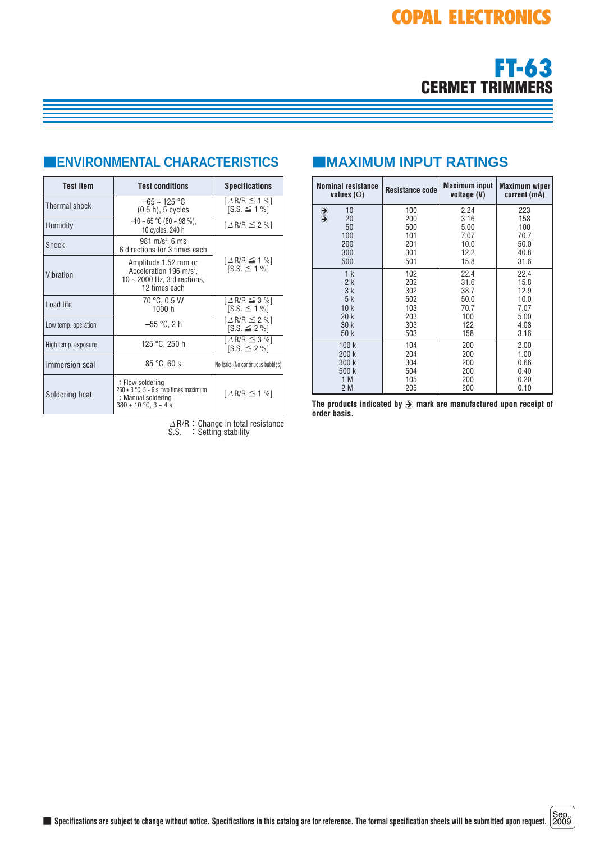

# ■**ENVIRONMENTAL CHARACTERISTICS**

| <b>Test item</b>             | <b>Test conditions</b>                                                                                                     | <b>Specifications</b>                                     |  |
|------------------------------|----------------------------------------------------------------------------------------------------------------------------|-----------------------------------------------------------|--|
| Thermal shock                | $-65 \sim 125 \text{ °C}$<br>$(0.5 h)$ , 5 cycles                                                                          | $\lceil \Delta R/R \leq 1 \% \rceil$<br>$[S.S. \leq 1\%]$ |  |
| Humidity                     | $-10 \sim 65$ °C (80 ~ 98 %).<br>10 cycles, 240 h                                                                          | $\lceil \Delta R/R \leq 2\% \rceil$                       |  |
| Shock                        | 981 m/s <sup>2</sup> , 6 ms<br>6 directions for 3 times each                                                               |                                                           |  |
| Vibration                    | Amplitude 1.52 mm or<br>Acceleration 196 m/s <sup>2</sup> ,<br>$10 \sim 2000$ Hz, 3 directions,<br>12 times each           | $\lceil \Delta R/R \leq 1 \% \rceil$<br>$[S.S. \leq 1\%]$ |  |
| Load life                    | 70 °C, 0.5 W<br>1000 h                                                                                                     | $\lceil \Delta R/R \leq 3\% \rceil$<br>$[S.S. \leq 1\%]$  |  |
| Low temp. operation          | −55 °C. 2 h                                                                                                                | $\lceil \Delta R/R \leq 2\% \rceil$<br>$[S.S. \leq 2\%]$  |  |
| High temp. exposure          | 125 °C, 250 h                                                                                                              |                                                           |  |
| 85 °C.60 s<br>Immersion seal |                                                                                                                            | No leaks (No continuous bubbles)                          |  |
| Soldering heat               | : Flow soldering<br>$260 \pm 3$ °C, $5 \sim 6$ s, two times maximum<br>: Manual soldering<br>$380 \pm 10$ °C, $3 \sim 4$ s | $\lceil \Delta R/R \leq 1 \% \rceil$                      |  |

 $\varDelta$ R/R:Change in total resistance S.S. : Setting stability

# ■**MAXIMUM INPUT RATINGS**

| <b>Nominal resistance</b><br>values $(\Omega)$             | <b>Resistance code</b> | <b>Maximum input</b><br>voltage (V) | <b>Maximum wiper</b><br>current (mA) |
|------------------------------------------------------------|------------------------|-------------------------------------|--------------------------------------|
| 10<br>$\begin{array}{c} \bigoplus \ \bigoplus \end{array}$ | 100                    | 2.24                                | 223                                  |
| 20<br>50                                                   | 200<br>500             | 3.16<br>5.00                        | 158<br>100                           |
| 100                                                        | 101                    | 7.07                                | 70.7                                 |
| 200                                                        | 201                    | 10.0                                | 50.0                                 |
| 300                                                        | 301                    | 12.2                                | 40.8                                 |
| 500                                                        | 501                    | 15.8                                | 31.6                                 |
| 1 <sub>k</sub>                                             | 102                    | 22.4                                | 22.4                                 |
| 2k                                                         | 202                    | 31.6                                | 15.8                                 |
| 3k                                                         | 302                    | 38.7                                | 12.9                                 |
| 5k                                                         | 502                    | 50.0                                | 10.0                                 |
| 10k                                                        | 103                    | 70.7                                | 7.07                                 |
| 20k<br>30k                                                 | 203<br>303             | 100<br>122                          | 5.00<br>4.08                         |
| 50k                                                        | 503                    | 158                                 | 3.16                                 |
| 100k                                                       | 104                    | 200                                 | 2.00                                 |
| 200 k                                                      | 204                    | 200                                 | 1.00                                 |
| 300 k                                                      | 304                    | 200                                 | 0.66                                 |
| 500 k                                                      | 504                    | 200                                 | 0.40                                 |
| 1 M                                                        | 105                    | 200                                 | 0.20                                 |
| 2 M                                                        | 205                    | 200                                 | 0.10                                 |

The products indicated by  $\ddot{\bigcirc}$  mark are manufactured upon receipt of **order basis.**

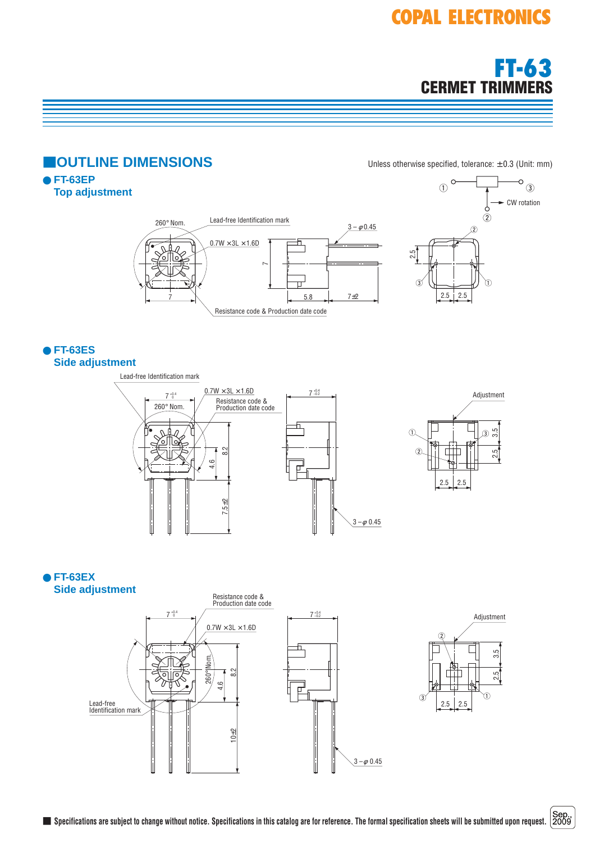# **COPAL ELECTRONICS**





 $3 - \phi \, 0.45$ 

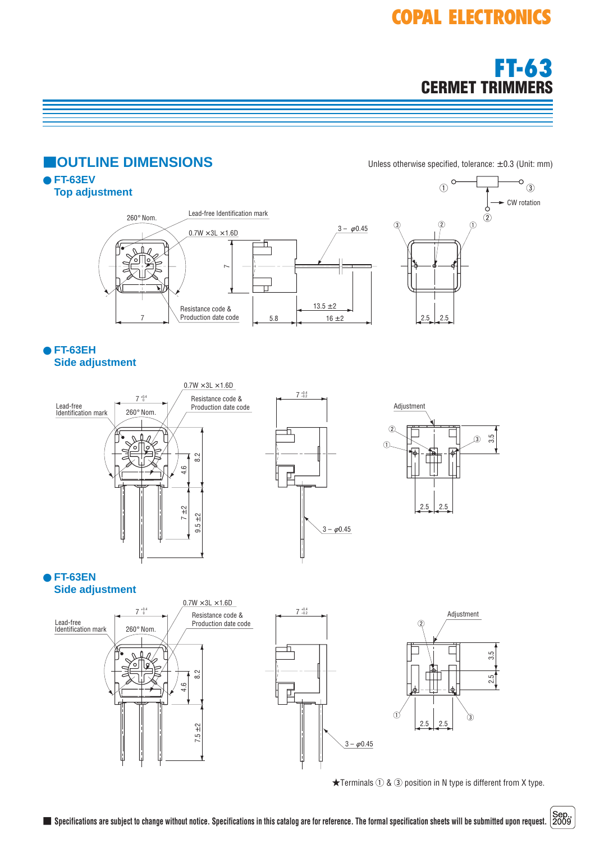# **COPAL ELECTRONICS**



#### **IOUTLINE DIMENSIONS** Unless otherwise specified, tolerance: ± 0.3 (Unit: mm) ● **FT-63EV**  $\circ$ <sub>3</sub>  $(1)$ **Top adjustment** CW rotation Lead-free Identification mark 260° Nom.  $\circled{2}$  $3 - \phi 0.45$  $0.7W \times 3L \times 1.6D$ 五  $\tilde{}$  $13.5 \pm 2$ Resistance code & Production date code  $16 \pm 2$  2.5 2.5 7 5.8 ● **FT-63EH Side adjustment**  $0.7W \times 3L \times 1.6D$  $7_{-0.2}^{+0.4}$ Resistance code &  $7^{+0.4}_{-0.1}$ Lead-free Production date code Adjustment 260° Nom. Identification mark fi 2 3.5 3  $_{\tiny\textregistered}$  $\frac{2}{3}$  $9.5 \pm 2$  8.2 ŤŤ 4.6 법 7 ± 2 2.5 2.5  $9.5 + 2$  $3 - \phi 0.45$

∥

● **FT-63EN Side adjustment**



 $\bigstar$ Terminals  $\bigcirc$  &  $\bigcirc$  position in N type is different from X type.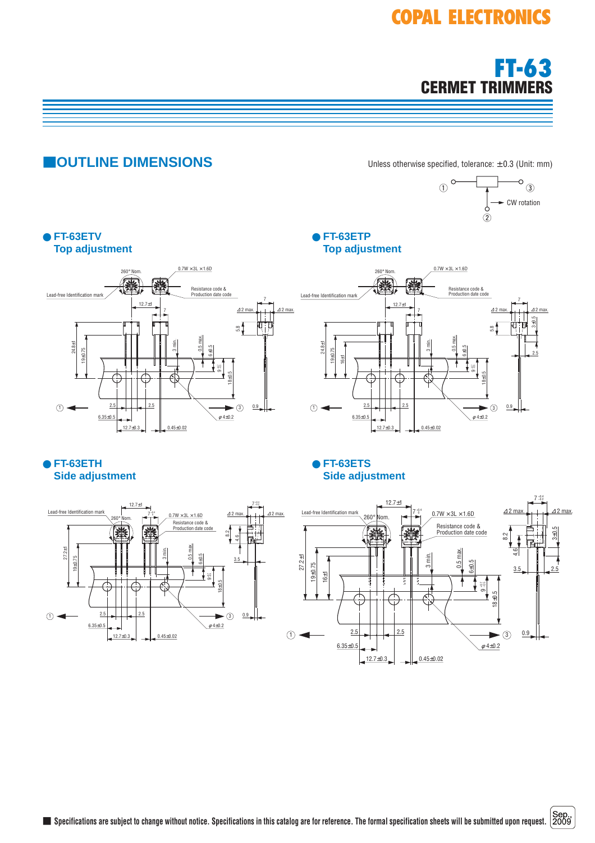# **COPAL ELECTRONICS**



#### ● **FT-63ETP Top adjustment** ● **FT-63ETV Top adjustment** 12.7±1 260° Nom.  $\bigcirc$   $\longrightarrow$   $\qquad$   $\frac{2.5}{2}$  $6.35+0.5$  $12.7\pm0.3$  0.45 $\pm0.02$ 2.5 7 24.8±1 19±0.75 3 min. 0.5 max. 6±0.5 18±0.5  $\frac{8}{5}$ 7 2 max. +0.7 –0.5  $0.7W \times 3L \times 1.6D$  $\phi$  4 $\pm$ 0.2  $0.9$ <sup>∆</sup> 2 max. <sup>∆</sup> Resistance code & Production date code  $\blacktriangleright$  3 Lead-free Identification m 12.7±1  $\bigcirc$   $\longrightarrow$   $\qquad$   $\frac{2.5}{1}$ 6.35±0.5  $12.7\pm0.3$  0.45 $\pm0.02$ 2.5 7 24.8±1 19±0.75 16±1 3 min. 0.5 max. 6±0.5 18±0.5  $_{5.8}^\infty$ 7 2 max. +0.7 –0.5 ග  $\phi$  4 $\pm$ 0.2 2.5 3±0.5 0.9 <sup>∆</sup> 2 max. <sup>∆</sup>  $\blacktriangleright$  3  $0.7W \times 3L \times 1.6D$ Resistance code & Production date code 260° Nom. Lead-free Identification ● **FT-63ETH Side adjustment** ● **FT-63ETS Side adjustment** 12.7±1 27.2±1 19±0.75 3 min. 0.5 max. 6±0.5 18±0.5 <u>ಜ</u> 4.6 3.5 2 max. +0.7 –0.5 ග  $0.7W \times 31 \times 1.6D$ <sup>∆</sup> 2 max. <sup>∆</sup> Resistance code & Production date code  $260^\circ$  Nom.  $7^{+0.7}_{-0.00}$ +0.4  $7 - 0.2$ Lead-free Identification ma CW rotation  $(1)$  $\circ$  $\circ$ <sub>3</sub> 12.7±1  $7^{+0.4}_{-0}$  0 +0.4 –0.2 27.2±1 19±0.75 16±1 3 min. 0.5 max. 6±0.5 18±0.5  $\stackrel{\sim}{\approx}$ 4.6 7 2 max. +0.7 ី ග  $3.5$  2.5 3±0.5  $\triangle$  2 max.  $\Box$   $\Box$   $\triangle$  $0.7W \times 3L \times 1.6D$ Resistance code & ncolocalico code c<br>Production date co Lead-free Identification mark **CUTLINE DIMENSIONS** Unless otherwise specified, tolerance: ± 0.3 (Unit: mm)

 $\bigcirc$  2.5

 $6.35 \pm 0.5$ 

 $12.7 \pm 0.3$  0.45 $\pm$ 0.02

 $\phi$  4 $\pm$ 0.2

3

0.9

2.5

 $\bigcirc$   $\longrightarrow$   $\qquad$   $\overset{2.5}{\longrightarrow}$ 

 $6.35 \pm 0.5$ 

 $12.7+0.3$  0.45 $\pm 0.02$ 

 $\phi$  4 $\pm$ 0.2

3

0.9

2.5